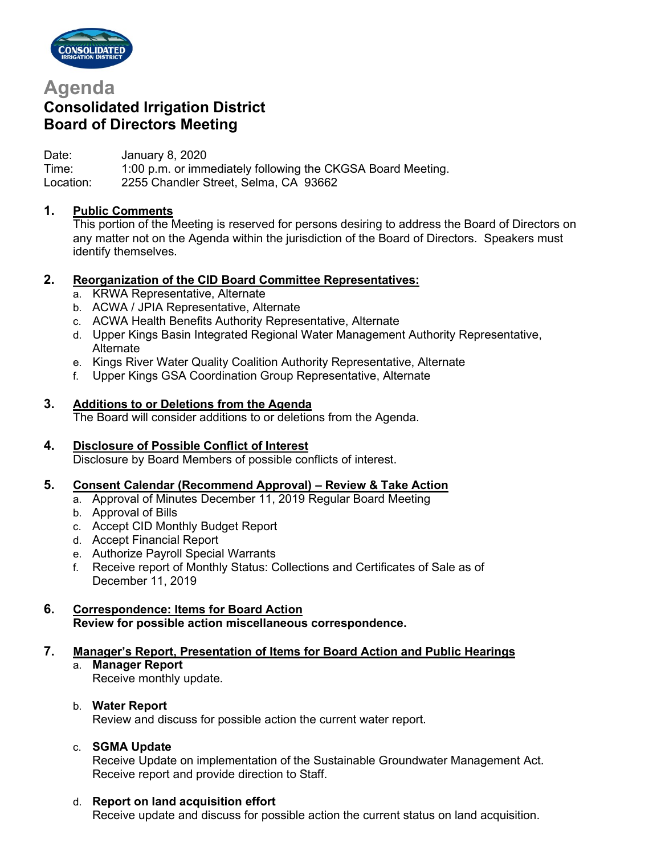

# **Agenda**

# **Consolidated Irrigation District Board of Directors Meeting**

Date: January 8, 2020 Time: 1:00 p.m. or immediately following the CKGSA Board Meeting. Location: 2255 Chandler Street, Selma, CA 93662

# **1. Public Comments**

This portion of the Meeting is reserved for persons desiring to address the Board of Directors on any matter not on the Agenda within the jurisdiction of the Board of Directors. Speakers must identify themselves.

# **2. Reorganization of the CID Board Committee Representatives:**

- a. KRWA Representative, Alternate
- b. ACWA / JPIA Representative, Alternate
- c. ACWA Health Benefits Authority Representative, Alternate
- d. Upper Kings Basin Integrated Regional Water Management Authority Representative, Alternate
- e. Kings River Water Quality Coalition Authority Representative, Alternate
- f. Upper Kings GSA Coordination Group Representative, Alternate

# **3. Additions to or Deletions from the Agenda**

The Board will consider additions to or deletions from the Agenda.

# **4. Disclosure of Possible Conflict of Interest**

Disclosure by Board Members of possible conflicts of interest.

# **5. Consent Calendar (Recommend Approval) – Review & Take Action**

- a. Approval of Minutes December 11, 2019 Regular Board Meeting
- b. Approval of Bills
- c. Accept CID Monthly Budget Report
- d. Accept Financial Report
- e. Authorize Payroll Special Warrants
- f. Receive report of Monthly Status: Collections and Certificates of Sale as of December 11, 2019

# **6. Correspondence: Items for Board Action Review for possible action miscellaneous correspondence.**

# **7. Manager's Report, Presentation of Items for Board Action and Public Hearings**

a. **Manager Report**

Receive monthly update.

# b. **Water Report**

Review and discuss for possible action the current water report.

# c. **SGMA Update**

Receive Update on implementation of the Sustainable Groundwater Management Act. Receive report and provide direction to Staff.

# d. **Report on land acquisition effort**

Receive update and discuss for possible action the current status on land acquisition.